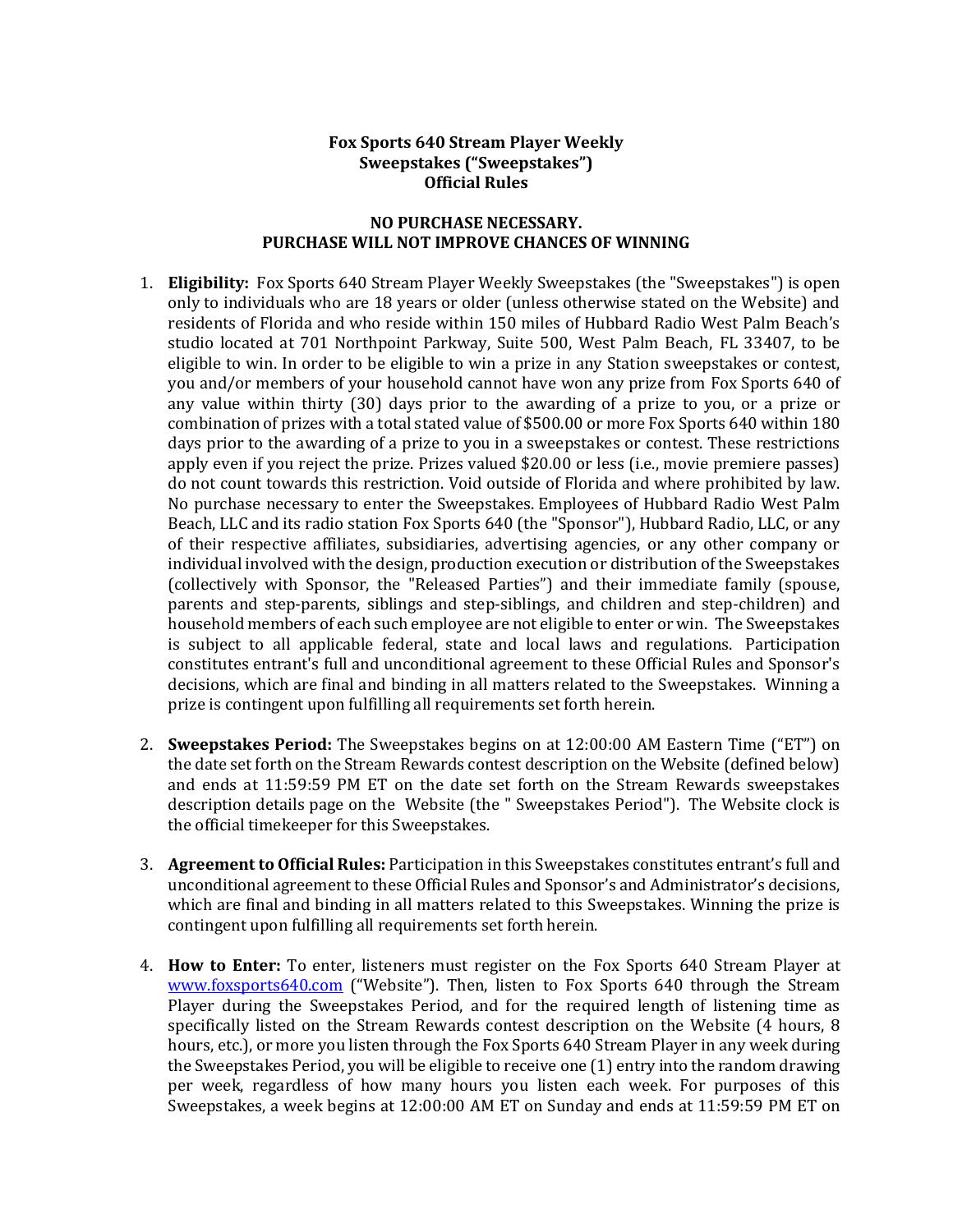## **Fox Sports 640 Stream Player Weekly Sweepstakes ("Sweepstakes") Official Rules**

## **NO PURCHASE NECESSARY. PURCHASE WILL NOT IMPROVE CHANCES OF WINNING**

- 1. **Eligibility:** Fox Sports 640 Stream Player Weekly Sweepstakes (the "Sweepstakes") is open only to individuals who are 18 years or older (unless otherwise stated on the Website) and residents of Florida and who reside within 150 miles of Hubbard Radio West Palm Beach's studio located at 701 Northpoint Parkway, Suite 500, West Palm Beach, FL 33407, to be eligible to win. In order to be eligible to win a prize in any Station sweepstakes or contest, you and/or members of your household cannot have won any prize from Fox Sports 640 of any value within thirty (30) days prior to the awarding of a prize to you, or a prize or combination of prizes with a total stated value of \$500.00 or more Fox Sports 640 within 180 days prior to the awarding of a prize to you in a sweepstakes or contest. These restrictions apply even if you reject the prize. Prizes valued \$20.00 or less (i.e., movie premiere passes) do not count towards this restriction. Void outside of Florida and where prohibited by law. No purchase necessary to enter the Sweepstakes. Employees of Hubbard Radio West Palm Beach, LLC and its radio station Fox Sports 640 (the "Sponsor"), Hubbard Radio, LLC, or any of their respective affiliates, subsidiaries, advertising agencies, or any other company or individual involved with the design, production execution or distribution of the Sweepstakes (collectively with Sponsor, the "Released Parties") and their immediate family (spouse, parents and step-parents, siblings and step-siblings, and children and step-children) and household members of each such employee are not eligible to enter or win. The Sweepstakes is subject to all applicable federal, state and local laws and regulations. Participation constitutes entrant's full and unconditional agreement to these Official Rules and Sponsor's decisions, which are final and binding in all matters related to the Sweepstakes. Winning a prize is contingent upon fulfilling all requirements set forth herein.
- 2. **Sweepstakes Period:** The Sweepstakes begins on at 12:00:00 AM Eastern Time ("ET") on the date set forth on the Stream Rewards contest description on the Website (defined below) and ends at 11:59:59 PM ET on the date set forth on the Stream Rewards sweepstakes description details page on the Website (the " Sweepstakes Period"). The Website clock is the official timekeeper for this Sweepstakes.
- 3. **Agreement to Official Rules:** Participation in this Sweepstakes constitutes entrant's full and unconditional agreement to these Official Rules and Sponsor's and Administrator's decisions, which are final and binding in all matters related to this Sweepstakes. Winning the prize is contingent upon fulfilling all requirements set forth herein.
- 4. **How to Enter:** To enter, listeners must register on the Fox Sports 640 Stream Player at [www.foxsports640.com](http://www.foxsports640.com/) ("Website"). Then, listen to Fox Sports 640 through the Stream Player during the Sweepstakes Period, and for the required length of listening time as specifically listed on the Stream Rewards contest description on the Website (4 hours, 8 hours, etc.), or more you listen through the Fox Sports 640 Stream Player in any week during the Sweepstakes Period, you will be eligible to receive one (1) entry into the random drawing per week, regardless of how many hours you listen each week. For purposes of this Sweepstakes, a week begins at 12:00:00 AM ET on Sunday and ends at 11:59:59 PM ET on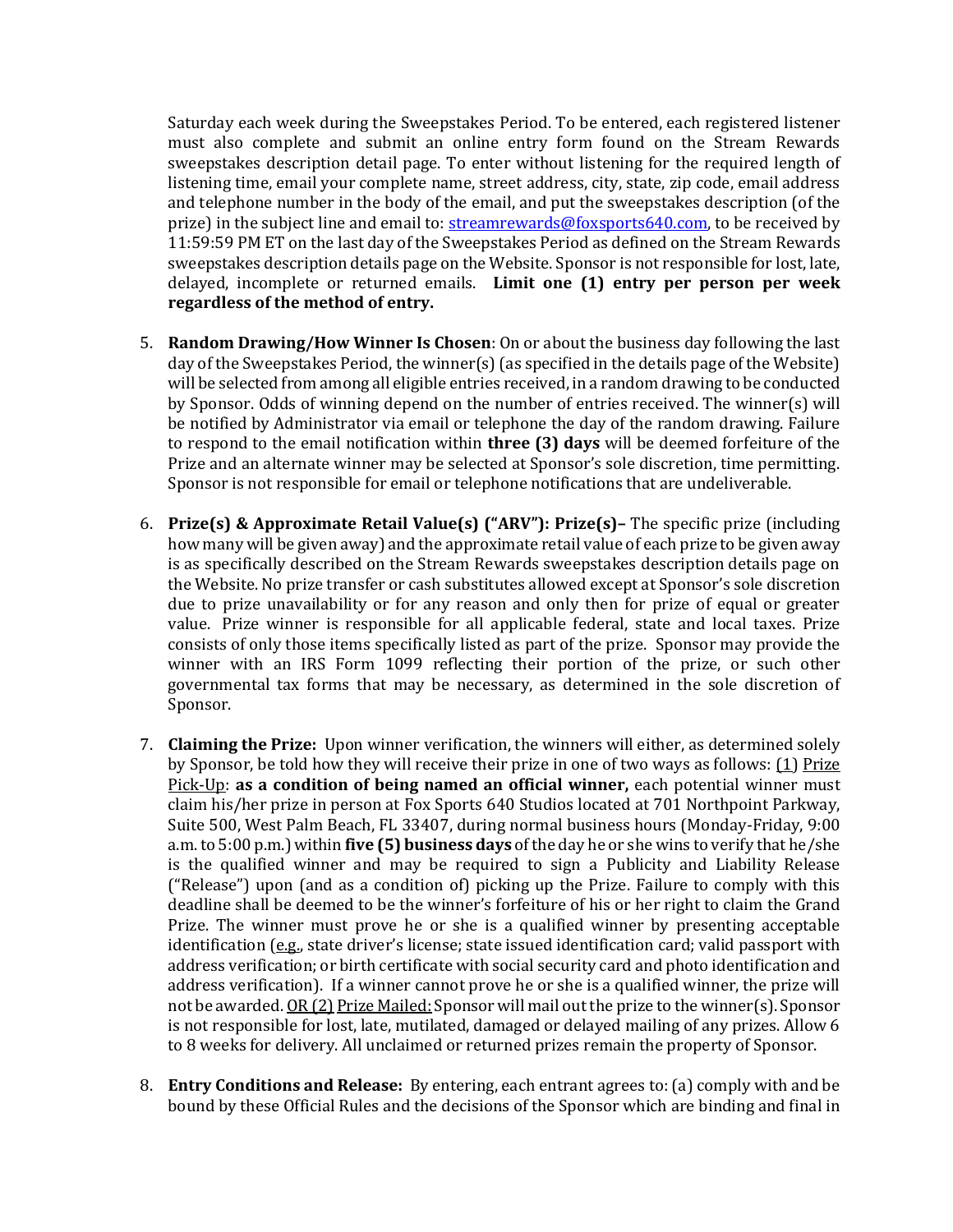Saturday each week during the Sweepstakes Period. To be entered, each registered listener must also complete and submit an online entry form found on the Stream Rewards sweepstakes description detail page. To enter without listening for the required length of listening time, email your complete name, street address, city, state, zip code, email address and telephone number in the body of the email, and put the sweepstakes description (of the prize) in the subject line and email to: [streamrewards@foxsports640.com,](mailto:streamrewards@wrmf.com) to be received by 11:59:59 PM ET on the last day of the Sweepstakes Period as defined on the Stream Rewards sweepstakes description details page on the Website. Sponsor is not responsible for lost, late, delayed, incomplete or returned emails. **Limit one (1) entry per person per week regardless of the method of entry.**

- 5. **Random Drawing/How Winner Is Chosen**: On or about the business day following the last day of the Sweepstakes Period, the winner(s) (as specified in the details page of the Website) will be selected from among all eligible entries received, in a random drawing to be conducted by Sponsor. Odds of winning depend on the number of entries received. The winner(s) will be notified by Administrator via email or telephone the day of the random drawing. Failure to respond to the email notification within **three (3) days** will be deemed forfeiture of the Prize and an alternate winner may be selected at Sponsor's sole discretion, time permitting. Sponsor is not responsible for email or telephone notifications that are undeliverable.
- 6. **Prize(s) & Approximate Retail Value(s) ("ARV"): Prize(s)–** The specific prize (including how many will be given away) and the approximate retail value of each prize to be given away is as specifically described on the Stream Rewards sweepstakes description details page on the Website. No prize transfer or cash substitutes allowed except at Sponsor's sole discretion due to prize unavailability or for any reason and only then for prize of equal or greater value. Prize winner is responsible for all applicable federal, state and local taxes. Prize consists of only those items specifically listed as part of the prize. Sponsor may provide the winner with an IRS Form 1099 reflecting their portion of the prize, or such other governmental tax forms that may be necessary, as determined in the sole discretion of Sponsor.
- 7. **Claiming the Prize:** Upon winner verification, the winners will either, as determined solely by Sponsor, be told how they will receive their prize in one of two ways as follows: (1) Prize Pick-Up: **as a condition of being named an official winner,** each potential winner must claim his/her prize in person at Fox Sports 640 Studios located at 701 Northpoint Parkway, Suite 500, West Palm Beach, FL 33407, during normal business hours (Monday-Friday, 9:00 a.m. to 5:00 p.m.) within **five (5) business days** of the day he or she wins to verify that he/she is the qualified winner and may be required to sign a Publicity and Liability Release ("Release") upon (and as a condition of) picking up the Prize. Failure to comply with this deadline shall be deemed to be the winner's forfeiture of his or her right to claim the Grand Prize. The winner must prove he or she is a qualified winner by presenting acceptable identification (e.g., state driver's license; state issued identification card; valid passport with address verification; or birth certificate with social security card and photo identification and address verification). If a winner cannot prove he or she is a qualified winner, the prize will not be awarded. OR (2) Prize Mailed: Sponsor will mail out the prize to the winner(s). Sponsor is not responsible for lost, late, mutilated, damaged or delayed mailing of any prizes. Allow 6 to 8 weeks for delivery. All unclaimed or returned prizes remain the property of Sponsor.
- 8. **Entry Conditions and Release:** By entering, each entrant agrees to: (a) comply with and be bound by these Official Rules and the decisions of the Sponsor which are binding and final in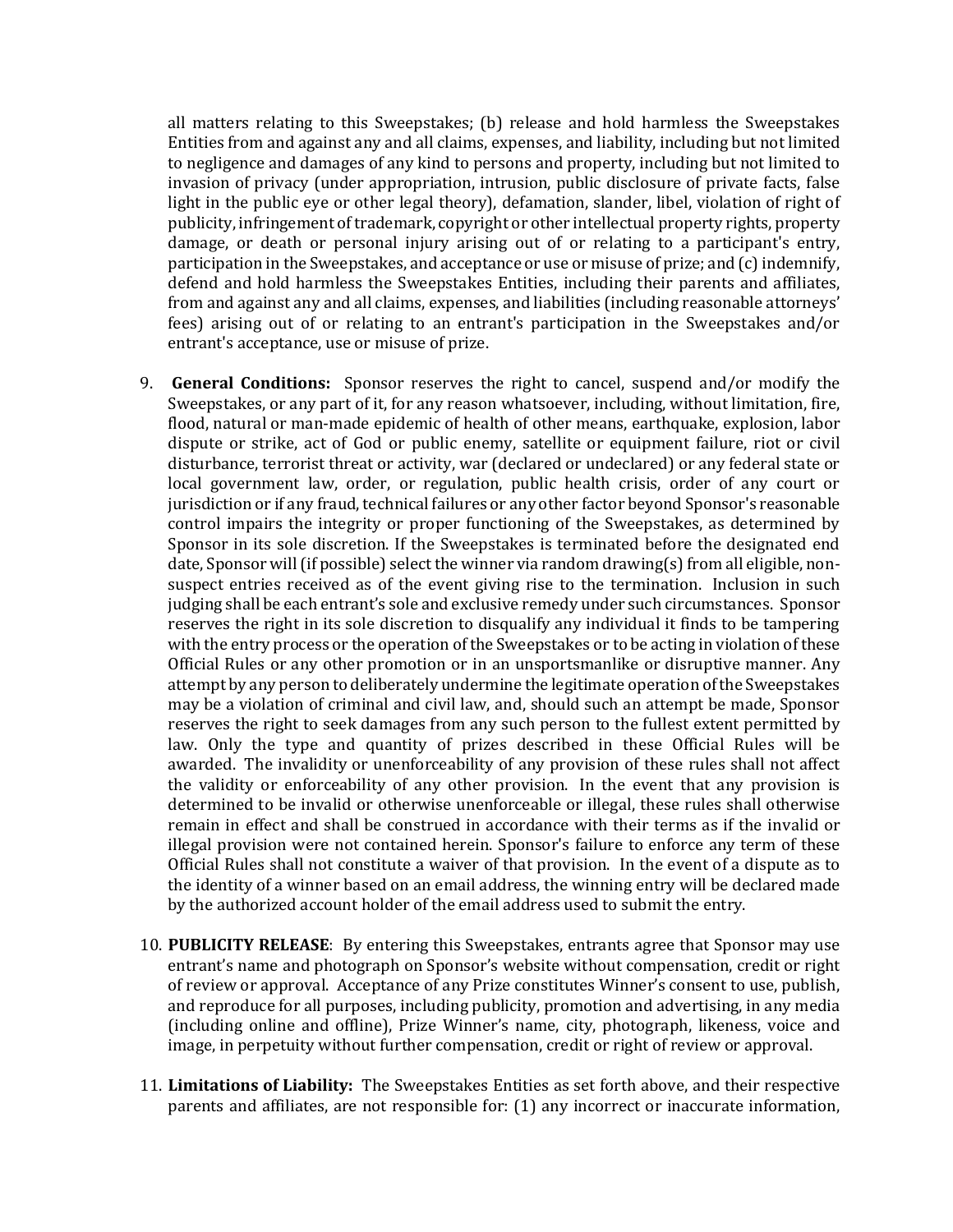all matters relating to this Sweepstakes; (b) release and hold harmless the Sweepstakes Entities from and against any and all claims, expenses, and liability, including but not limited to negligence and damages of any kind to persons and property, including but not limited to invasion of privacy (under appropriation, intrusion, public disclosure of private facts, false light in the public eye or other legal theory), defamation, slander, libel, violation of right of publicity, infringement of trademark, copyright or other intellectual property rights, property damage, or death or personal injury arising out of or relating to a participant's entry, participation in the Sweepstakes, and acceptance or use or misuse of prize; and (c) indemnify, defend and hold harmless the Sweepstakes Entities, including their parents and affiliates, from and against any and all claims, expenses, and liabilities (including reasonable attorneys' fees) arising out of or relating to an entrant's participation in the Sweepstakes and/or entrant's acceptance, use or misuse of prize.

- 9. **General Conditions:** Sponsor reserves the right to cancel, suspend and/or modify the Sweepstakes, or any part of it, for any reason whatsoever, including, without limitation, fire, flood, natural or man-made epidemic of health of other means, earthquake, explosion, labor dispute or strike, act of God or public enemy, satellite or equipment failure, riot or civil disturbance, terrorist threat or activity, war (declared or undeclared) or any federal state or local government law, order, or regulation, public health crisis, order of any court or jurisdiction or if any fraud, technical failures or any other factor beyond Sponsor's reasonable control impairs the integrity or proper functioning of the Sweepstakes, as determined by Sponsor in its sole discretion. If the Sweepstakes is terminated before the designated end date, Sponsor will (if possible) select the winner via random drawing(s) from all eligible, nonsuspect entries received as of the event giving rise to the termination. Inclusion in such judging shall be each entrant's sole and exclusive remedy under such circumstances. Sponsor reserves the right in its sole discretion to disqualify any individual it finds to be tampering with the entry process or the operation of the Sweepstakes or to be acting in violation of these Official Rules or any other promotion or in an unsportsmanlike or disruptive manner. Any attempt by any person to deliberately undermine the legitimate operation of the Sweepstakes may be a violation of criminal and civil law, and, should such an attempt be made, Sponsor reserves the right to seek damages from any such person to the fullest extent permitted by law. Only the type and quantity of prizes described in these Official Rules will be awarded. The invalidity or unenforceability of any provision of these rules shall not affect the validity or enforceability of any other provision. In the event that any provision is determined to be invalid or otherwise unenforceable or illegal, these rules shall otherwise remain in effect and shall be construed in accordance with their terms as if the invalid or illegal provision were not contained herein. Sponsor's failure to enforce any term of these Official Rules shall not constitute a waiver of that provision. In the event of a dispute as to the identity of a winner based on an email address, the winning entry will be declared made by the authorized account holder of the email address used to submit the entry.
- 10. **PUBLICITY RELEASE**: By entering this Sweepstakes, entrants agree that Sponsor may use entrant's name and photograph on Sponsor's website without compensation, credit or right of review or approval. Acceptance of any Prize constitutes Winner's consent to use, publish, and reproduce for all purposes, including publicity, promotion and advertising, in any media (including online and offline), Prize Winner's name, city, photograph, likeness, voice and image, in perpetuity without further compensation, credit or right of review or approval.
- 11. **Limitations of Liability:** The Sweepstakes Entities as set forth above, and their respective parents and affiliates, are not responsible for: (1) any incorrect or inaccurate information,